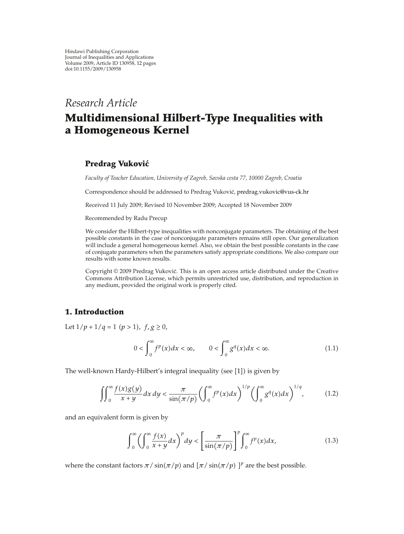# *Research Article*

# **Multidimensional Hilbert-Type Inequalities with a Homogeneous Kernel**

# **Predrag Vukovic´**

*Faculty of Teacher Education, University of Zagreb, Savska cesta 77, 10000 Zagreb, Croatia*

Correspondence should be addressed to Predrag Vuković, predrag.vukovic@vus-ck.hr

Received 11 July 2009; Revised 10 November 2009; Accepted 18 November 2009

Recommended by Radu Precup

We consider the Hilbert-type inequalities with nonconjugate parameters. The obtaining of the best possible constants in the case of nonconjugate parameters remains still open. Our generalization will include a general homogeneous kernel. Also, we obtain the best possible constants in the case of conjugate parameters when the parameters satisfy appropriate conditions. We also compare our results with some known results.

Copyright © 2009 Predrag Vuković. This is an open access article distributed under the Creative Commons Attribution License, which permits unrestricted use, distribution, and reproduction in any medium, provided the original work is properly cited.

# **1. Introduction**

Let  $1/p + 1/q = 1$   $(p > 1)$ *,*  $f, g \ge 0$ *,* 

$$
0 < \int_0^\infty f^p(x) dx < \infty, \qquad 0 < \int_0^\infty g^q(x) dx < \infty. \tag{1.1}
$$

The well-known Hardy-Hilbert's integral inequality (see  $[1]$ ) is given by

$$
\iint_0^\infty \frac{f(x)g(y)}{x+y} dx dy < \frac{\pi}{\sin(\pi/p)} \left( \int_0^\infty f^p(x) dx \right)^{1/p} \left( \int_0^\infty g^q(x) dx \right)^{1/q}, \tag{1.2}
$$

and an equivalent form is given by

$$
\int_0^\infty \left(\int_0^\infty \frac{f(x)}{x+y}dx\right)^p dy < \left[\frac{\pi}{\sin(\pi/p)}\right]^p \int_0^\infty f^p(x)dx,\tag{1.3}
$$

where the constant factors  $\pi$ / sin $(\pi/p)$  and  $[\pi/\sin(\pi/p)]^p$  are the best possible.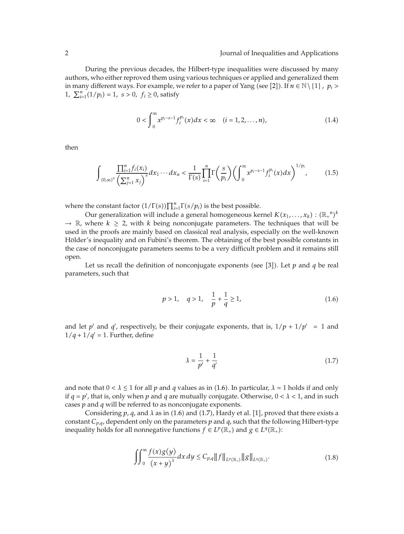During the previous decades, the Hilbert-type inequalities were discussed by many authors, who either reproved them using various techniques or applied and generalized them in many different ways. For example, we refer to a paper of Yang (see [2]). If  $n \in \mathbb{N} \setminus \{1\}$ ,  $p_i$  > 1,  $\sum_{i=1}^{n} (1/p_i) = 1$ ,  $s > 0$ ,  $f_i \ge 0$ , satisfy

$$
0 < \int_{0}^{\infty} x^{p_i - s - 1} f_i^{p_i}(x) dx < \infty \quad (i = 1, 2, \dots, n), \tag{1.4}
$$

then

$$
\int_{(0,\infty)^n} \frac{\prod_{i=1}^n f_i(x_i)}{\left(\sum_{j=1}^n x_j\right)^s} dx_1 \cdots dx_n < \frac{1}{\Gamma(s)} \prod_{i=1}^n \Gamma\left(\frac{s}{p_i}\right) \left(\int_0^\infty x^{p_i-s-1} f_i^{p_i}(x) dx\right)^{1/p_i},\tag{1.5}
$$

where the constant factor  $(1/\Gamma(s))\prod_{i=1}^{n}\Gamma(s/p_i)$  is the best possible.

Our generalization will include a general homogeneous kernel  $K(x_1,\ldots,x_k)$  :  $(\mathbb{R}_+{}^n)^k$  $\rightarrow \mathbb{R}$ , where  $k \geq 2$ , with *k* being nonconjugate parameters. The techniques that will be used in the proofs are mainly based on classical real analysis, especially on the well-known Hölder's inequality and on Fubini's theorem. The obtaining of the best possible constants in the case of nonconjugate parameters seems to be a very difficult problem and it remains still open.

Let us recall the definition of nonconjugate exponents (see [3]). Let  $p$  and  $q$  be real parameters, such that

$$
p > 1, \quad q > 1, \quad \frac{1}{p} + \frac{1}{q} \ge 1,
$$
 (1.6)

and let *p'* and *q'*, respectively, be their conjugate exponents, that is,  $1/p + 1/p' = 1$  and  $1/q + 1/q' = 1$ . Further, define

$$
\lambda = \frac{1}{p'} + \frac{1}{q'}\tag{1.7}
$$

and note that  $0 < \lambda \le 1$  for all p and q values as in (1.6). In particular,  $\lambda = 1$  holds if and only if  $q = p'$ , that is, only when  $p$  and  $q$  are mutually conjugate. Otherwise,  $0 < \lambda < 1$ , and in such cases *p* and *q* will be referred to as nonconjugate exponents.

Considering  $p$ ,  $q$ , and  $\lambda$  as in (1.6) and (1.7), Hardy et al. [1], proved that there exists a constant *Cp,q*, dependent only on the parameters *p* and *q*, such that the following Hilbert-type inequality holds for all nonnegative functions  $f \in L^p(\mathbb{R}_+)$  and  $g \in L^q(\mathbb{R}_+)$ :

$$
\iint_{0}^{\infty} \frac{f(x)g(y)}{(x+y)^{\lambda}} dx dy \le C_{p,q} ||f||_{L^{p}(\mathbb{R}_{+})} ||g||_{L^{q}(\mathbb{R}_{+})}.
$$
\n(1.8)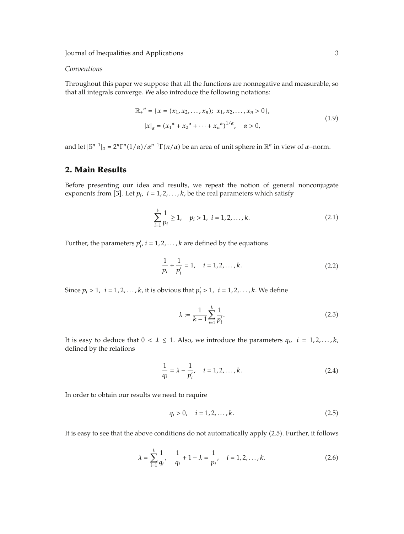Journal of Inequalities and Applications 3

#### *Conventions*

Throughout this paper we suppose that all the functions are nonnegative and measurable, so that all integrals converge. We also introduce the following notations:

$$
\mathbb{R}_{+}^{n} = \{x = (x_{1}, x_{2}, \dots, x_{n}); x_{1}, x_{2}, \dots, x_{n} > 0\},
$$
  
\n
$$
|x|_{\alpha} = (x_{1}^{\alpha} + x_{2}^{\alpha} + \dots + x_{n}^{\alpha})^{1/\alpha}, \quad \alpha > 0,
$$
\n(1.9)

and let  $|\mathbb{S}^{n-1}|_{\alpha} = 2^n \Gamma^n(1/\alpha)/\alpha^{n-1}\Gamma(n/\alpha)$  be an area of unit sphere in  $\mathbb{R}^n$  in view of  $\alpha$ -norm.

#### **2. Main Results**

Before presenting our idea and results, we repeat the notion of general nonconjugate exponents from [3]. Let  $p_i$ ,  $i = 1, 2, ..., k$ , be the real parameters which satisfy

$$
\sum_{i=1}^{k} \frac{1}{p_i} \ge 1, \quad p_i > 1, \ i = 1, 2, \dots, k. \tag{2.1}
$$

Further, the parameters  $p'_{i}$ ,  $i = 1, 2, ..., k$  are defined by the equations

$$
\frac{1}{p_i} + \frac{1}{p'_i} = 1, \quad i = 1, 2, ..., k.
$$
 (2.2)

Since  $p_i > 1$ ,  $i = 1, 2, ..., k$ , it is obvious that  $p'_i > 1$ ,  $i = 1, 2, ..., k$ . We define

$$
\lambda := \frac{1}{k-1} \sum_{i=1}^{k} \frac{1}{p'_i}.
$$
\n(2.3)

It is easy to deduce that  $0 < \lambda \leq 1$ . Also, we introduce the parameters  $q_i$ ,  $i = 1, 2, ..., k$ , defined by the relations

$$
\frac{1}{q_i} = \lambda - \frac{1}{p'_i}, \quad i = 1, 2, ..., k. \tag{2.4}
$$

In order to obtain our results we need to require

$$
q_i > 0, \quad i = 1, 2, \dots, k. \tag{2.5}
$$

It is easy to see that the above conditions do not automatically apply (2.5). Further, it follows

$$
\lambda = \sum_{i=1}^{k} \frac{1}{q_i}, \quad \frac{1}{q_i} + 1 - \lambda = \frac{1}{p_i}, \quad i = 1, 2, ..., k.
$$
 (2.6)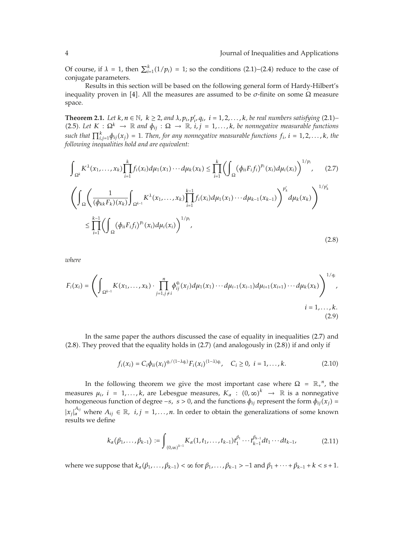Of course, if  $\lambda = 1$ , then  $\sum_{i=1}^{k} (1/p_i) = 1$ ; so the conditions (2.1)–(2.4) reduce to the case of conjugate parameters.

Results in this section will be based on the following general form of Hardy-Hilbert's inequality proven in [4]. All the measures are assumed to be  $\sigma$ -finite on some  $\Omega$  measure space.

**Theorem 2.1.** *Let*  $k, n \in \mathbb{N}$ ,  $k \geq 2$ , and  $\lambda$ ,  $p_i, p'_i, q_i$ ,  $i = 1, 2, ..., k$ , be real numbers satisfying (2.1)– 2.5*. Let <sup>K</sup>* : <sup>Ω</sup>*<sup>k</sup>* <sup>→</sup> <sup>R</sup> *and φij* : <sup>Ω</sup> <sup>→</sup> <sup>R</sup>*, i, j* <sup>1</sup>*,...,k, be nonnegative measurable functions*  $such$  that  $\prod_{i,j=1}^{k} \phi_{ij}(x_j) = 1$ . Then, for any nonnegative measurable functions  $f_i$ ,  $i = 1,2,\ldots,k$ , the *following inequalities hold and are equivalent:*

$$
\int_{\Omega^{k}} K^{\lambda}(x_{1},...,x_{k}) \prod_{i=1}^{k} f_{i}(x_{i}) d\mu_{1}(x_{1}) \cdots d\mu_{k}(x_{k}) \leq \prod_{i=1}^{k} \left( \int_{\Omega} (\phi_{ii} F_{i} f_{i})^{p_{i}}(x_{i}) d\mu_{i}(x_{i}) \right)^{1/p_{i}}, \quad (2.7)
$$
\n
$$
\left( \int_{\Omega} \left( \frac{1}{(\phi_{kk} F_{k})(x_{k})} \int_{\Omega^{k-1}} K^{\lambda}(x_{1},...,x_{k}) \prod_{i=1}^{k-1} f_{i}(x_{i}) d\mu_{1}(x_{1}) \cdots d\mu_{k-1}(x_{k-1}) \right)^{p_{k}'} d\mu_{k}(x_{k}) \right)^{1/p_{k}'} \leq \prod_{i=1}^{k-1} \left( \int_{\Omega} (\phi_{ii} F_{i} f_{i})^{p_{i}}(x_{i}) d\mu_{i}(x_{i}) \right)^{1/p_{i}}, \quad (2.8)
$$

*where*

$$
F_i(x_i) = \left( \int_{\Omega^{k-1}} K(x_1, \dots, x_k) \cdot \prod_{j=1, j \neq i}^n \phi_{ij}^{q_i}(x_j) d\mu_1(x_1) \cdots d\mu_{i-1}(x_{i-1}) d\mu_{i+1}(x_{i+1}) \cdots d\mu_k(x_k) \right)^{1/q_i},
$$
  
\n $i = 1, \dots, k.$  (2.9)

In the same paper the authors discussed the case of equality in inequalities 2.7 and  $(2.8)$ . They proved that the equality holds in  $(2.7)$  (and analogously in  $(2.8)$ ) if and only if

$$
f_i(x_i) = C_i \phi_{ii}(x_i)^{q_i/(1-\lambda q_i)} F_i(x_i)^{(1-\lambda)q_i}, \quad C_i \ge 0, \ i = 1, \dots, k. \tag{2.10}
$$

In the following theorem we give the most important case where  $\Omega = \mathbb{R}^n$ , the measures  $\mu_i$ ,  $i = 1, ..., k$ , are Lebesgue measures,  $K_\alpha : (0, \infty)^k \to \mathbb{R}$  is a nonnegative homogeneous function of degree −*s*,  $\bar{s}$  > 0, and the functions  $\phi_{ij}$  represent the form  $\phi_{ij}(x_j)$  =  $|x_j|_a^{A_{ij}}$  where  $A_{ij} \in \mathbb{R}$ ,  $i, j = 1, ..., n$ . In order to obtain the generalizations of some known results we define

$$
k_{\alpha}(\beta_1,\ldots,\beta_{k-1}) := \int_{(0,\infty)^{k-1}} K_{\alpha}(1,t_1,\ldots,t_{k-1}) t_1^{\beta_1} \cdots t_{k-1}^{\beta_{k-1}} dt_1 \cdots dt_{k-1},
$$
\n(2.11)

where we suppose that  $k_{\alpha}(\beta_1,\ldots,\beta_{k-1}) < \infty$  for  $\beta_1,\ldots,\beta_{k-1} > -1$  and  $\beta_1 + \cdots + \beta_{k-1} + k < s + 1$ .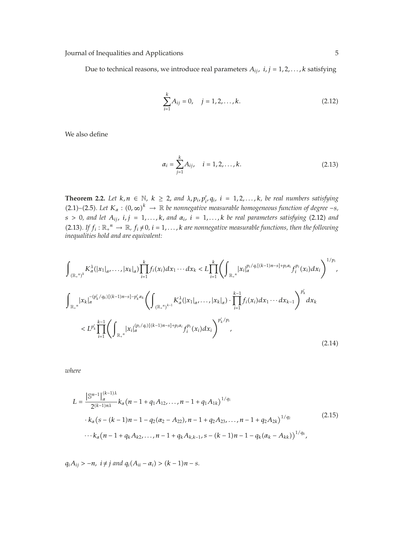Journal of Inequalities and Applications 5

Due to technical reasons, we introduce real parameters  $A_{ij}$ ,  $i, j = 1, 2, \ldots, k$  satisfying

$$
\sum_{i=1}^{k} A_{ij} = 0, \quad j = 1, 2, \dots, k.
$$
 (2.12)

We also define

$$
\alpha_i = \sum_{j=1}^k A_{ij}, \quad i = 1, 2, \dots, k. \tag{2.13}
$$

**Theorem 2.2.** Let  $k, n \in \mathbb{N}$ ,  $k \geq 2$ , and  $\lambda, p_i, p'_i, q_i$ ,  $i = 1, 2, ..., k$ , be real numbers satisfying (2.1)–(2.5). Let  $K_\alpha$  :  $(0, \infty)^k$  → R *be nonnegative measurable homogeneous function of degree – <i>s*,  $s > 0$ , and let  $A_{ij}$ ,  $i, j = 1, \ldots, k$ , and  $\alpha_i$ ,  $i = 1, \ldots, k$  be real parameters satisfying (2.12) and (2.13). If  $f_i : \mathbb{R}_+^n \to \mathbb{R}$ ,  $f_i \neq 0$ ,  $i = 1, \ldots, k$  are nonnegative measurable functions, then the following *inequalities hold and are equivalent:*

$$
\int_{(\mathbb{R}_{+}^{n})^{k}} K_{\alpha}^{\lambda}(|x_{1}|_{\alpha},...,|x_{k}|_{\alpha}) \prod_{i=1}^{k} f_{i}(x_{i}) dx_{1} \cdots dx_{k} < L \prod_{i=1}^{k} \left( \int_{\mathbb{R}_{+}^{n}} |x_{i}|_{\alpha}^{p_{i}/q_{i}[(k-1)n-s]+p_{i}\alpha_{i}} f_{i}^{p_{i}}(x_{i}) dx_{i} \right)^{1/p_{i}},
$$
\n
$$
\int_{\mathbb{R}_{+}^{n}} |x_{k}|_{\alpha}^{-(p'_{k}/q_{k})[(k-1)n-s]-p'_{k}\alpha_{k}} \left( \int_{(\mathbb{R}_{+}^{n})^{k-1}} K_{\alpha}^{\lambda}(|x_{1}|_{\alpha},...,|x_{k}|_{\alpha}) \cdot \prod_{i=1}^{k-1} f_{i}(x_{i}) dx_{1} \cdots dx_{k-1} \right)^{p'_{k}} dx_{k}
$$
\n
$$
< L^{p'_{k}} \prod_{i=1}^{k-1} \left( \int_{\mathbb{R}_{+}^{n}} |x_{i}|_{\alpha}^{(p_{i}/q_{i})[(k-1)n-s]+p_{i}\alpha_{i}} f_{i}^{p_{i}}(x_{i}) dx_{i} \right)^{p'_{k}/p_{i}},
$$
\n(2.14)

*where*

$$
L = \frac{\left| \mathbb{S}^{n-1} \right|_{\alpha}^{(k-1)\lambda}}{2^{(k-1)n\lambda}} k_{\alpha} (n-1 + q_1 A_{12}, \dots, n-1 + q_1 A_{1k})^{1/q_1}
$$
  
•  $k_{\alpha} (s - (k-1)n - 1 - q_2 (\alpha_2 - A_{22}), n - 1 + q_2 A_{23}, \dots, n - 1 + q_2 A_{2k})^{1/q_2}$   
• $\cdots k_{\alpha} (n-1 + q_k A_{k2}, \dots, n-1 + q_k A_{k,k-1}, s - (k-1)n - 1 - q_k (\alpha_k - A_{kk}))^{1/q_k},$  (2.15)

 $q_i A_{ij} > -n$ ,  $i \neq j$  *and*  $q_i (A_{ii} - \alpha_i) > (k - 1)n - s$ .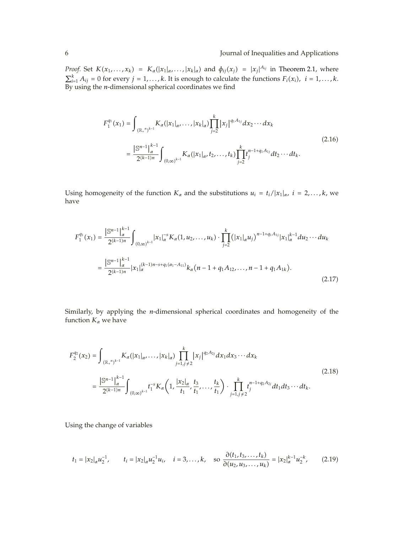*Proof.* Set  $K(x_1,...,x_k) = K_\alpha(|x_1|_\alpha,...,|x_k|_\alpha)$  and  $\phi_{ij}(x_j) = |x_j|^{A_{ij}}$  in Theorem 2.1, where  $\sum_{i=1}^{k} A_{ij} = 0$  for every *j* = 1,...,*k*. It is enough to calculate the functions  $F_i(x_i)$ , *i* = 1,...,*k*. By using the *n*-dimensional spherical coordinates we find

$$
F_1^{q_1}(x_1) = \int_{(\mathbb{R}_+^n)^{k-1}} K_\alpha(|x_1|_{\alpha}, \dots, |x_k|_{\alpha}) \prod_{j=2}^k |x_j|^{q_1 A_{1j}} dx_2 \cdots dx_k
$$
  

$$
= \frac{|\mathbb{S}^{n-1}|_{\alpha}^{k-1}}{2^{(k-1)n}} \int_{(0,\infty)^{k-1}} K_\alpha(|x_1|_{\alpha}, t_2, \dots, t_k) \prod_{j=2}^k t_j^{n-1+q_1 A_{1j}} dt_2 \cdots dt_k.
$$
 (2.16)

Using homogeneity of the function  $K_{\alpha}$  and the substitutions  $u_i = t_i/|x_1|_{\alpha}$ ,  $i = 2,...,k$ , we have

$$
F_1^{q_1}(x_1) = \frac{\left|\mathbb{S}^{n-1}\right|_{\alpha}^{k-1}}{2^{(k-1)n}} \int_{(0,\infty)^{k-1}} |x_1|_{\alpha}^{-s} K_{\alpha}(1, u_2, \dots, u_k) \cdot \prod_{j=2}^k (|x_1|_{\alpha} u_j)^{n-1+q_1 A_{1j}} |x_1|_{\alpha}^{k-1} du_2 \cdots du_k
$$
  

$$
= \frac{\left|\mathbb{S}^{n-1}\right|_{\alpha}^{k-1}}{2^{(k-1)n}} |x_1|_{\alpha}^{(k-1)n-s+q_1(\alpha_1-A_{11})} k_{\alpha}(n-1+q_1 A_{12}, \dots, n-1+q_1 A_{1k}). \tag{2.17}
$$

Similarly, by applying the *n*-dimensional spherical coordinates and homogeneity of the function  $K_{\alpha}$  we have

$$
F_{2}^{q_{2}}(x_{2}) = \int_{(\mathbb{R}_{+}^{n})^{k-1}} K_{\alpha}(|x_{1}|_{\alpha}, \ldots, |x_{k}|_{\alpha}) \prod_{j=1, j \neq 2}^{k} |x_{j}|^{q_{2}A_{2j}} dx_{1} dx_{3} \cdots dx_{k}
$$
\n
$$
= \frac{|S^{n-1}|_{\alpha}^{k-1}}{2^{(k-1)n}} \int_{(0,\infty)^{k-1}} t_{1}^{-s} K_{\alpha}\left(1, \frac{|x_{2}|_{\alpha}}{t_{1}}, \frac{t_{3}}{t_{1}}, \ldots, \frac{t_{k}}{t_{1}}\right) \cdot \prod_{j=1, j \neq 2}^{k} t_{j}^{n-1+q_{2}A_{2j}} dt_{1} dt_{3} \cdots dt_{k}.
$$
\n(2.18)

Using the change of variables

$$
t_1 = |x_2|_{\alpha} u_2^{-1}, \qquad t_i = |x_2|_{\alpha} u_2^{-1} u_i, \quad i = 3, \dots, k, \quad \text{so } \frac{\partial(t_1, t_3, \dots, t_k)}{\partial(u_2, u_3, \dots, u_k)} = |x_2|_{\alpha}^{k-1} u_2^{-k}, \tag{2.19}
$$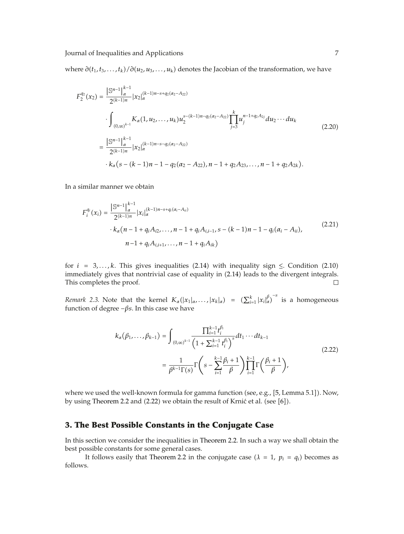where  $\partial(t_1, t_3, \ldots, t_k) / \partial(u_2, u_3, \ldots, u_k)$  denotes the Jacobian of the transformation, we have

$$
F_{2}^{q_{2}}(x_{2}) = \frac{\left| \mathbb{S}^{n-1} \right|_{\alpha}^{k-1}}{2^{(k-1)n}} |x_{2}|_{\alpha}^{(k-1)n-s+q_{2}(\alpha_{2}-A_{22})}
$$
  

$$
\cdot \int_{(0,\infty)^{k-1}} K_{\alpha}(1,u_{2},...,u_{k}) u_{2}^{s-(k-1)n-q_{2}(\alpha_{2}-A_{22})} \prod_{j=3}^{k} u_{j}^{n-1+q_{2}A_{2j}} du_{2} \cdots du_{k}
$$
  

$$
= \frac{\left| \mathbb{S}^{n-1} \right|_{\alpha}^{k-1}}{2^{(k-1)n}} |x_{2}|_{\alpha}^{(k-1)n-s-q_{2}(\alpha_{2}-A_{22})}
$$
  

$$
\cdot k_{\alpha}(s-(k-1)n-1-q_{2}(\alpha_{2}-A_{22}), n-1+q_{2}A_{23},..., n-1+q_{2}A_{2k}).
$$
 (2.20)

In a similar manner we obtain

$$
F_i^{q_i}(x_i) = \frac{\left| \mathbb{S}^{n-1} \right|_{\alpha}^{k-1}}{2^{(k-1)n}} |x_i|_{\alpha}^{(k-1)n-s+q_i(\alpha_i - A_{ii})}
$$
  
 
$$
\cdot k_{\alpha} (n-1 + q_i A_{i2}, \dots, n-1 + q_i A_{i,i-1}, s - (k-1)n - 1 - q_i(\alpha_i - A_{ii}),
$$
  
 
$$
n-1 + q_i A_{i,i+1}, \dots, n-1 + q_i A_{ik})
$$
 (2.21)

for  $i = 3,...,k$ . This gives inequalities (2.14) with inequality sign  $\le$ . Condition (2.10) immediately gives that nontrivial case of equality in 2.14 leads to the divergent integrals. This completes the proof.  $\Box$ 

*Remark 2.3.* Note that the kernel  $K_{\alpha}(|x_1|_{\alpha},...,|x_k|_{\alpha}) = (\sum_{i=1}^k |x_i|_{\alpha}^{\beta})^{-s}$  is a homogeneous function of degree  $-\beta s$ . In this case we have

$$
k_{\alpha}(\beta_1, ..., \beta_{k-1}) = \int_{(0,\infty)^{k-1}} \frac{\prod_{i=1}^{k-1} t_i^{\beta_i}}{\left(1 + \sum_{i=1}^{k-1} t_i^{\beta_i}\right)^s} dt_1 \cdots dt_{k-1}
$$
  
= 
$$
\frac{1}{\beta^{k-1} \Gamma(s)} \Gamma\left(s - \sum_{i=1}^{k-1} \frac{\beta_i + 1}{\beta}\right) \prod_{i=1}^{k-1} \Gamma\left(\frac{\beta_i + 1}{\beta}\right),
$$
 (2.22)

where we used the well-known formula for gamma function (see, e.g., [5, Lemma 5.1]). Now, by using Theorem 2.2 and  $(2.22)$  we obtain the result of Krnić et al. (see  $[6]$ ).

#### **3. The Best Possible Constants in the Conjugate Case**

In this section we consider the inequalities in Theorem 2.2. In such a way we shall obtain the best possible constants for some general cases.

It follows easily that Theorem 2.2 in the conjugate case  $(\lambda = 1, p_i = q_i)$  becomes as follows.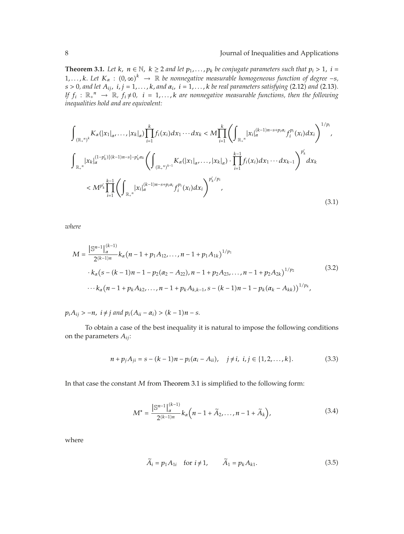**Theorem 3.1.** *Let*  $k$ ,  $n \in \mathbb{N}$ ,  $k \geq 2$  *and let*  $p_1, \ldots, p_k$  *be conjugate parameters such that*  $p_i > 1$ ,  $i =$ 1,..., k. Let  $K_a$  :  $(0, \infty)^k$   $\rightarrow \mathbb{R}$  be nonnegative measurable homogeneous function of degree  $-s$ ,  $s > 0$ , and let  $A_{ij}$ ,  $i, j = 1, \ldots, k$ , and  $\alpha_i$ ,  $i = 1, \ldots, k$  be real parameters satisfying (2.12) and (2.13). *If*  $f_i : \mathbb{R}_+^n \to \mathbb{R}$ ,  $f_i \neq 0$ ,  $i = 1, ..., k$  are nonnegative measurable functions, then the following *inequalities hold and are equivalent:*

$$
\int_{(\mathbb{R}_{+}^{n})^{k}} K_{\alpha}(|x_{1}|_{\alpha},...,|x_{k}|_{\alpha}) \prod_{i=1}^{k} f_{i}(x_{i}) dx_{1} \cdots dx_{k} < M \prod_{i=1}^{k} \left( \int_{\mathbb{R}_{+}^{n}} |x_{i}|_{\alpha}^{(k-1)n-s+p_{i}\alpha_{i}} f_{i}^{p_{i}}(x_{i}) dx_{i} \right)^{1/p_{i}},
$$
\n
$$
\int_{\mathbb{R}_{+}^{n}} |x_{k}|_{\alpha}^{(1-p'_{k})[(k-1)n-s]-p'_{k}\alpha_{k}} \left( \int_{(\mathbb{R}_{+}^{n})^{k-1}} K_{\alpha}(|x_{1}|_{\alpha},...,|x_{k}|_{\alpha}) \cdot \prod_{i=1}^{k-1} f_{i}(x_{i}) dx_{1} \cdots dx_{k-1} \right)^{p'_{k}} dx_{k}
$$
\n
$$
< M^{p'_{k}} \prod_{i=1}^{k-1} \left( \int_{\mathbb{R}_{+}^{n}} |x_{i}|_{\alpha}^{(k-1)n-s+p_{i}\alpha_{i}} f_{i}^{p_{i}}(x_{i}) dx_{i} \right)^{p'_{k}/p_{i}}, \qquad (3.1)
$$

*where*

$$
M = \frac{\left| \mathbb{S}^{n-1} \right|_{\alpha}^{(k-1)}}{2^{(k-1)n}} k_{\alpha} (n-1 + p_1 A_{12}, \dots, n-1 + p_1 A_{1k})^{1/p_1}
$$
  
 
$$
\cdot k_{\alpha} (s - (k-1)n - 1 - p_2 (\alpha_2 - A_{22}), n-1 + p_2 A_{23}, \dots, n-1 + p_2 A_{2k})^{1/p_2}
$$
  
 
$$
\cdots k_{\alpha} (n-1 + p_k A_{k2}, \dots, n-1 + p_k A_{k,k-1}, s - (k-1)n - 1 - p_k (\alpha_k - A_{kk}))^{1/p_k},
$$
  
(3.2)

 $p_i A_{ij} > -n$ ,  $i \neq j$  *and*  $p_i (A_{ii} - \alpha_i) > (k - 1)n - s$ .

To obtain a case of the best inequality it is natural to impose the following conditions on the parameters *Aij*:

$$
n + p_j A_{ji} = s - (k - 1)n - p_i(\alpha_i - A_{ii}), \quad j \neq i, \ i, j \in \{1, 2, ..., k\}.
$$
 (3.3)

In that case the constant *M* from Theorem 3.1 is simplified to the following form:

$$
M^* = \frac{\left| \mathbb{S}^{n-1} \right|_{\alpha}^{(k-1)}}{2^{(k-1)n}} k_{\alpha} \left( n - 1 + \tilde{A}_2, \dots, n - 1 + \tilde{A}_k \right), \tag{3.4}
$$

where

$$
\widetilde{A}_i = p_1 A_{1i} \quad \text{for } i \neq 1, \qquad \widetilde{A}_1 = p_k A_{k1}.
$$
 (3.5)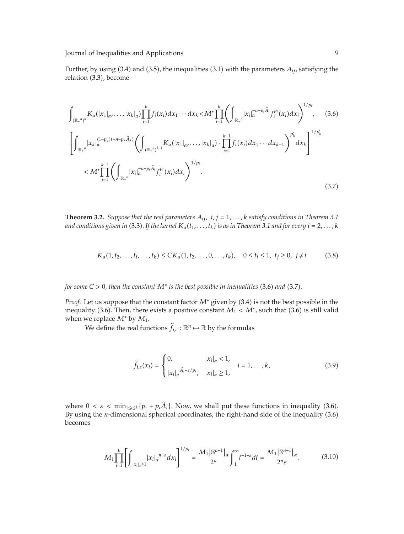Further, by using  $(3.4)$  and  $(3.5)$ , the inequalities  $(3.1)$  with the parameters  $A_{ij}$ , satisfying the relation (3.3), become

$$
\int_{(\mathbb{R}_{+}^{n})^{k}} K_{\alpha}(|x_{1}|_{\alpha},...,|x_{k}|_{\alpha}) \prod_{i=1}^{k} f_{i}(x_{i}) dx_{1}...dx_{k} < M^{*} \prod_{i=1}^{k} \left( \int_{\mathbb{R}_{+}^{n}} |x_{i}|_{\alpha}^{-n-p_{i}\tilde{A}_{i}} f_{i}^{p_{i}}(x_{i}) dx_{i} \right)^{1/p_{i}}, \quad (3.6)
$$
\n
$$
\left[ \int_{\mathbb{R}_{+}^{n}} |x_{k}|_{\alpha}^{(1-p'_{k})(-n-p_{k}\tilde{A}_{k})} \left( \int_{(\mathbb{R}_{+}^{n})^{k-1}} K_{\alpha}(|x_{1}|_{\alpha},...,|x_{k}|_{\alpha}) \cdot \prod_{i=1}^{k-1} f_{i}(x_{i}) dx_{1}...dx_{k-1} \right)^{p'_{k}} dx_{k} \right]^{1/p'_{k}}
$$
\n
$$
< M^{*} \prod_{i=1}^{k-1} \left( \int_{\mathbb{R}_{+}^{n}} |x_{i}|_{\alpha}^{-n-p_{i}\tilde{A}_{i}} f_{i}^{p_{i}}(x_{i}) dx_{i} \right)^{1/p_{i}}.
$$
\n(3.7)

**Theorem 3.2.** *Suppose that the real parameters*  $A_{ij}$ ,  $i, j = 1, \ldots, k$  *satisfy conditions in Theorem 3.1 and conditions given in* (3.3). If the kernel  $K_{\alpha}(t_1,...,t_k)$  *is as in Theorem 3.1 and for every*  $i = 2,...,k$ 

$$
K_{\alpha}(1, t_2, \dots, t_i, \dots, t_k) \leq CK_{\alpha}(1, t_2, \dots, 0, \dots, t_k), \quad 0 \leq t_i \leq 1, \ t_j \geq 0, \ j \neq i \tag{3.8}
$$

#### *for some*  $C > 0$ *, then the constant*  $M^*$  *is the best possible in inequalities* (3.6) *and* (3.7).

*Proof.* Let us suppose that the constant factor  $M^*$  given by (3.4) is not the best possible in the inequality (3.6). Then, there exists a positive constant  $M_1 < M^*$ , such that (3.6) is still valid when we replace *M*<sup>∗</sup> by *M*1.

We define the real functions  $\widetilde{f}_{i,\varepsilon} : \mathbb{R}^n \mapsto \mathbb{R}$  by the formulas

$$
\widetilde{f}_{i,\varepsilon}(x_i) = \begin{cases}\n0, & |x_i|_{\alpha} < 1, \\
|x_i|_{\alpha}^{\widetilde{A}_i - \varepsilon/p_i}, & |x_i|_{\alpha} \ge 1,\n\end{cases} \quad i = 1, \dots, k,\n\tag{3.9}
$$

where  $0 < \varepsilon < \min_{1 \le i \le k} \{p_i + p_i A_i\}$ . Now, we shall put these functions in inequality (3.6). By using the *n*-dimensional spherical coordinates, the right-hand side of the inequality (3.6) becomes

$$
M_{1} \prod_{i=1}^{k} \left[ \int_{|x_{i}|_{\alpha} \geq 1} |x_{i}|_{\alpha}^{-n-\varepsilon} dx_{i} \right]^{1/p_{i}} = \frac{M_{1} |\mathbb{S}^{n-1}|_{\alpha}}{2^{n}} \int_{1}^{\infty} t^{-1-\varepsilon} dt = \frac{M_{1} |\mathbb{S}^{n-1}|_{\alpha}}{2^{n} \varepsilon}.
$$
 (3.10)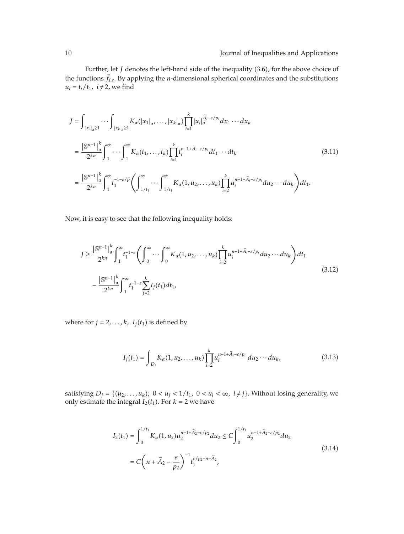Further, let *J* denotes the left-hand side of the inequality (3.6), for the above choice of the functions *<sup>f</sup> i,ε.* By applying the *n*-dimensional spherical coordinates and the substitutions  $u_i = t_i/t_1$ ,  $i \neq 2$ , we find

$$
J = \int_{|x_1|_{\alpha} \ge 1} \cdots \int_{|x_k|_{\alpha} \ge 1} K_{\alpha}(|x_1|_{\alpha}, \ldots, |x_k|_{\alpha}) \prod_{i=1}^k |x_i|_{\alpha}^{\tilde{A}_i - \varepsilon/p_i} dx_1 \cdots dx_k
$$
  
\n
$$
= \frac{|\mathbb{S}^{n-1}|_{\alpha}^k}{2^{kn}} \int_1^{\infty} \cdots \int_1^{\infty} K_{\alpha}(t_1, \ldots, t_k) \prod_{i=1}^k t_i^{n-1+\tilde{A}_i - \varepsilon/p_i} dt_1 \cdots dt_k
$$
  
\n
$$
= \frac{|\mathbb{S}^{n-1}|_{\alpha}^k}{2^{kn}} \int_1^{\infty} t_1^{-1-\varepsilon/\beta} \left( \int_{1/t_1}^{\infty} \cdots \int_{1/t_1}^{\infty} K_{\alpha}(1, u_2, \ldots, u_k) \prod_{i=2}^k u_i^{n-1+\tilde{A}_i - \varepsilon/p_i} du_2 \cdots du_k \right) dt_1.
$$
\n(3.11)

Now, it is easy to see that the following inequality holds:

$$
J \geq \frac{\left| \mathbb{S}^{n-1} \right|_{\alpha}^{k}}{2^{kn}} \int_{1}^{\infty} t_1^{-1-\epsilon} \left( \int_0^{\infty} \cdots \int_0^{\infty} K_{\alpha}(1, u_2, \dots, u_k) \prod_{i=2}^k u_i^{n-1+\tilde{A}_i - \epsilon/p_i} du_2 \cdots du_k \right) dt_1
$$
  

$$
- \frac{\left| \mathbb{S}^{n-1} \right|_{\alpha}^{k}}{2^{kn}} \int_1^{\infty} t_1^{-1-\epsilon} \sum_{j=2}^k I_j(t_1) dt_1,
$$
 (3.12)

where for  $j = 2, \ldots, k$ ,  $I_j(t_1)$  is defined by

$$
I_j(t_1) = \int_{D_j} K_{\alpha}(1, u_2, \dots, u_k) \prod_{i=2}^k u_i^{n-1+\tilde{A}_i - \varepsilon/p_i} du_2 \cdots du_k,
$$
 (3.13)

satisfying  $D_j = \{(u_2, \ldots, u_k); 0 < u_j < 1/t_1, 0 < u_l < \infty, l \neq j\}$ . Without losing generality, we only estimate the integral  $I_2(t_1)$ . For  $k = 2$  we have

$$
I_2(t_1) = \int_0^{1/t_1} K_{\alpha}(1, u_2) u_2^{n-1+\tilde{A}_2 - \varepsilon/p_2} du_2 \le C \int_0^{1/t_1} u_2^{n-1+\tilde{A}_2 - \varepsilon/p_2} du_2
$$
  
=  $C \left( n + \tilde{A}_2 - \frac{\varepsilon}{p_2} \right)^{-1} t_1^{\varepsilon/p_2 - n - \tilde{A}_2},$  (3.14)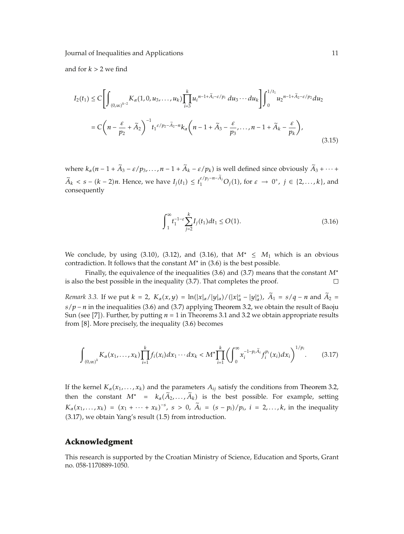Journal of Inequalities and Applications 11

and for  $k > 2$  we find

$$
I_2(t_1) \leq C \left[ \int_{(0,\infty)^{k-2}} K_{\alpha}(1,0,u_3,\ldots,u_k) \prod_{i=3}^k u_i^{n-1+\tilde{A}_i-\varepsilon/p_i} du_3 \cdots du_k \right] \int_0^{1/t_1} u_2^{n-1+\tilde{A}_2-\varepsilon/p_2} du_2
$$
  

$$
= C \left( n - \frac{\varepsilon}{p_2} + \tilde{A}_2 \right)^{-1} t_1^{\varepsilon/p_2 - \tilde{A}_2 - n} k_{\alpha} \left( n - 1 + \tilde{A}_3 - \frac{\varepsilon}{p_3}, \ldots, n - 1 + \tilde{A}_k - \frac{\varepsilon}{p_k} \right),
$$
(3.15)

where  $k_{\alpha}(n-1+A_3-\varepsilon/p_3,\ldots,n-1+A_k-\varepsilon/p_k)$  is well defined since obviously  $A_3+\cdots+A_k$ *A*<sup>*k*</sup>  $\le$  *s* − (*k* − 2)*n*. Hence, we have *I<sub>j</sub>*(*t*<sub>1</sub>) ≤ *t*<sub>1</sub><sup>*ε/p<sub>j</sub>−n−A<sub><i>j*</sub></sub> O<sub>*j*</sub>(1), for *ε* → 0<sup>+</sup>, *j* ∈ {2,...,*k*}, and</sup> consequently

$$
\int_{1}^{\infty} t_{1}^{-1-\varepsilon} \sum_{j=2}^{k} I_{j}(t_{1}) dt_{1} \le O(1). \tag{3.16}
$$

We conclude, by using  $(3.10)$ ,  $(3.12)$ , and  $(3.16)$ , that  $M^* \leq M_1$  which is an obvious contradiction. It follows that the constant  $M^*$  in  $(3.6)$  is the best possible.

Finally, the equivalence of the inequalities 3.6 and 3.7 means that the constant *M*<sup>∗</sup> is also the best possible in the inequality (3.7). That completes the proof.  $\Box$ 

*Remark* 3.3. If we put  $k = 2$ ,  $K_{\alpha}(x, y) = \ln(|x|_{\alpha}/|y|_{\alpha})/(|x|_{\alpha}^{s} - |y|_{\alpha}^{s})$ ,  $\tilde{A}_1 = s/q - n$  and  $\tilde{A}_2 =$  $s/p - n$  in the inequalities (3.6) and (3.7) applying Theorem 3.2, we obtain the result of Baoju Sun (see [7]). Further, by putting  $n = 1$  in Theorems 3.1 and 3.2 we obtain appropriate results from  $[8]$ . More precisely, the inequality  $(3.6)$  becomes

$$
\int_{(0,\infty)^k} K_{\alpha}(x_1,\ldots,x_k) \prod_{i=1}^k f_i(x_i) dx_1 \cdots dx_k < M^* \prod_{i=1}^k \left( \int_0^{\infty} x_i^{-1-p_i \tilde{A}_i} f_i^{p_i}(x_i) dx_i \right)^{1/p_i}.
$$
 (3.17)

If the kernel  $K_a(x_1,...,x_k)$  and the parameters  $A_{ij}$  satisfy the conditions from Theorem 3.2, then the constant  $M^* = k_\alpha(\tilde{A}_2, ..., \tilde{A}_k)$  is the best possible. For example, setting  $K_a(x_1,...,x_k) = (x_1 + ... + x_k)^{-s}, s > 0, \ \tilde{A}_i = (s - p_i)/p_i, i = 2,...,k$ , in the inequality  $(3.17)$ , we obtain Yang's result  $(1.5)$  from introduction.

#### **Acknowledgment**

This research is supported by the Croatian Ministry of Science, Education and Sports, Grant no. 058-1170889-1050.